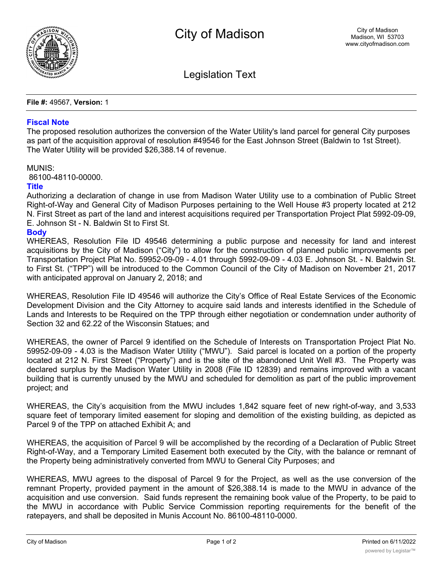

Legislation Text

**File #:** 49567, **Version:** 1

## **Fiscal Note**

The proposed resolution authorizes the conversion of the Water Utility's land parcel for general City purposes as part of the acquisition approval of resolution #49546 for the East Johnson Street (Baldwin to 1st Street). The Water Utility will be provided \$26,388.14 of revenue.

## MUNIS:

86100-48110-00000.

## **Title**

Authorizing a declaration of change in use from Madison Water Utility use to a combination of Public Street Right-of-Way and General City of Madison Purposes pertaining to the Well House #3 property located at 212 N. First Street as part of the land and interest acquisitions required per Transportation Project Plat 5992-09-09, E. Johnson St - N. Baldwin St to First St.

## **Body**

WHEREAS, Resolution File ID 49546 determining a public purpose and necessity for land and interest acquisitions by the City of Madison ("City") to allow for the construction of planned public improvements per Transportation Project Plat No. 59952-09-09 - 4.01 through 5992-09-09 - 4.03 E. Johnson St. - N. Baldwin St. to First St. ("TPP") will be introduced to the Common Council of the City of Madison on November 21, 2017 with anticipated approval on January 2, 2018; and

WHEREAS, Resolution File ID 49546 will authorize the City's Office of Real Estate Services of the Economic Development Division and the City Attorney to acquire said lands and interests identified in the Schedule of Lands and Interests to be Required on the TPP through either negotiation or condemnation under authority of Section 32 and 62.22 of the Wisconsin Statues; and

WHEREAS, the owner of Parcel 9 identified on the Schedule of Interests on Transportation Project Plat No. 59952-09-09 - 4.03 is the Madison Water Utility ("MWU"). Said parcel is located on a portion of the property located at 212 N. First Street ("Property") and is the site of the abandoned Unit Well #3. The Property was declared surplus by the Madison Water Utility in 2008 (File ID 12839) and remains improved with a vacant building that is currently unused by the MWU and scheduled for demolition as part of the public improvement project; and

WHEREAS, the City's acquisition from the MWU includes 1,842 square feet of new right-of-way, and 3,533 square feet of temporary limited easement for sloping and demolition of the existing building, as depicted as Parcel 9 of the TPP on attached Exhibit A; and

WHEREAS, the acquisition of Parcel 9 will be accomplished by the recording of a Declaration of Public Street Right-of-Way, and a Temporary Limited Easement both executed by the City, with the balance or remnant of the Property being administratively converted from MWU to General City Purposes; and

WHEREAS, MWU agrees to the disposal of Parcel 9 for the Project, as well as the use conversion of the remnant Property, provided payment in the amount of \$26,388.14 is made to the MWU in advance of the acquisition and use conversion. Said funds represent the remaining book value of the Property, to be paid to the MWU in accordance with Public Service Commission reporting requirements for the benefit of the ratepayers, and shall be deposited in Munis Account No. 86100-48110-0000.